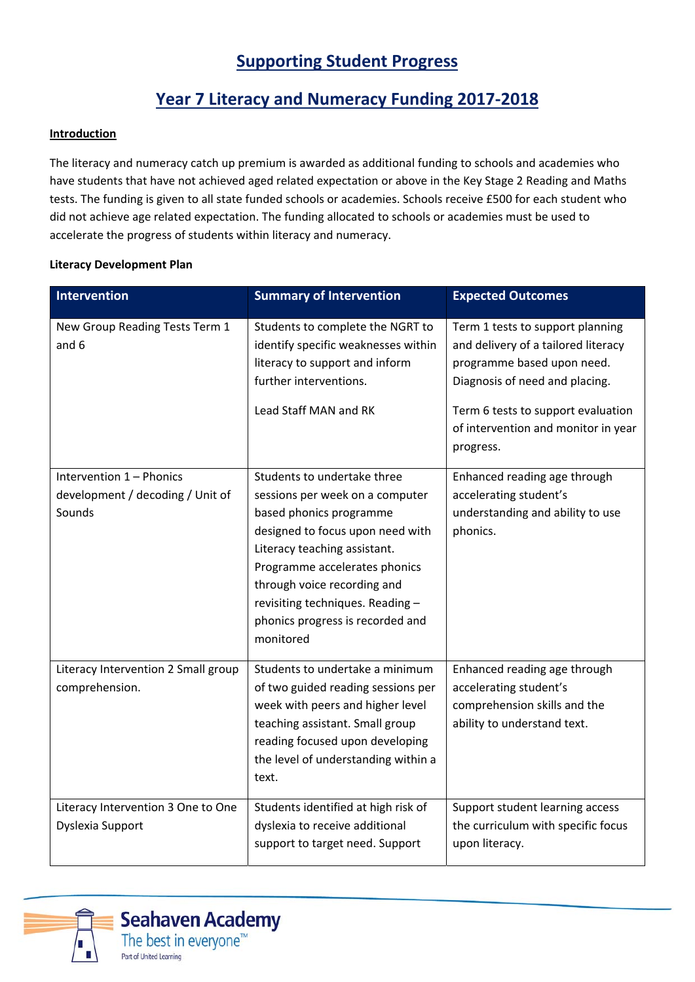# **Supporting Student Progress**

## **Year 7 Literacy and Numeracy Funding 2017‐2018**

#### **Introduction**

The literacy and numeracy catch up premium is awarded as additional funding to schools and academies who have students that have not achieved aged related expectation or above in the Key Stage 2 Reading and Maths tests. The funding is given to all state funded schools or academies. Schools receive £500 for each student who did not achieve age related expectation. The funding allocated to schools or academies must be used to accelerate the progress of students within literacy and numeracy.

#### **Literacy Development Plan**

| Intervention                                                           | <b>Summary of Intervention</b>                                                                                                                                                                                                                                                                                     | <b>Expected Outcomes</b>                                                                                                                                                                                                          |
|------------------------------------------------------------------------|--------------------------------------------------------------------------------------------------------------------------------------------------------------------------------------------------------------------------------------------------------------------------------------------------------------------|-----------------------------------------------------------------------------------------------------------------------------------------------------------------------------------------------------------------------------------|
| New Group Reading Tests Term 1<br>and 6                                | Students to complete the NGRT to<br>identify specific weaknesses within<br>literacy to support and inform<br>further interventions.<br>Lead Staff MAN and RK                                                                                                                                                       | Term 1 tests to support planning<br>and delivery of a tailored literacy<br>programme based upon need.<br>Diagnosis of need and placing.<br>Term 6 tests to support evaluation<br>of intervention and monitor in year<br>progress. |
| Intervention 1 - Phonics<br>development / decoding / Unit of<br>Sounds | Students to undertake three<br>sessions per week on a computer<br>based phonics programme<br>designed to focus upon need with<br>Literacy teaching assistant.<br>Programme accelerates phonics<br>through voice recording and<br>revisiting techniques. Reading -<br>phonics progress is recorded and<br>monitored | Enhanced reading age through<br>accelerating student's<br>understanding and ability to use<br>phonics.                                                                                                                            |
| Literacy Intervention 2 Small group<br>comprehension.                  | Students to undertake a minimum<br>of two guided reading sessions per<br>week with peers and higher level<br>teaching assistant. Small group<br>reading focused upon developing<br>the level of understanding within a<br>text.                                                                                    | Enhanced reading age through<br>accelerating student's<br>comprehension skills and the<br>ability to understand text.                                                                                                             |
| Literacy Intervention 3 One to One<br>Dyslexia Support                 | Students identified at high risk of<br>dyslexia to receive additional<br>support to target need. Support                                                                                                                                                                                                           | Support student learning access<br>the curriculum with specific focus<br>upon literacy.                                                                                                                                           |